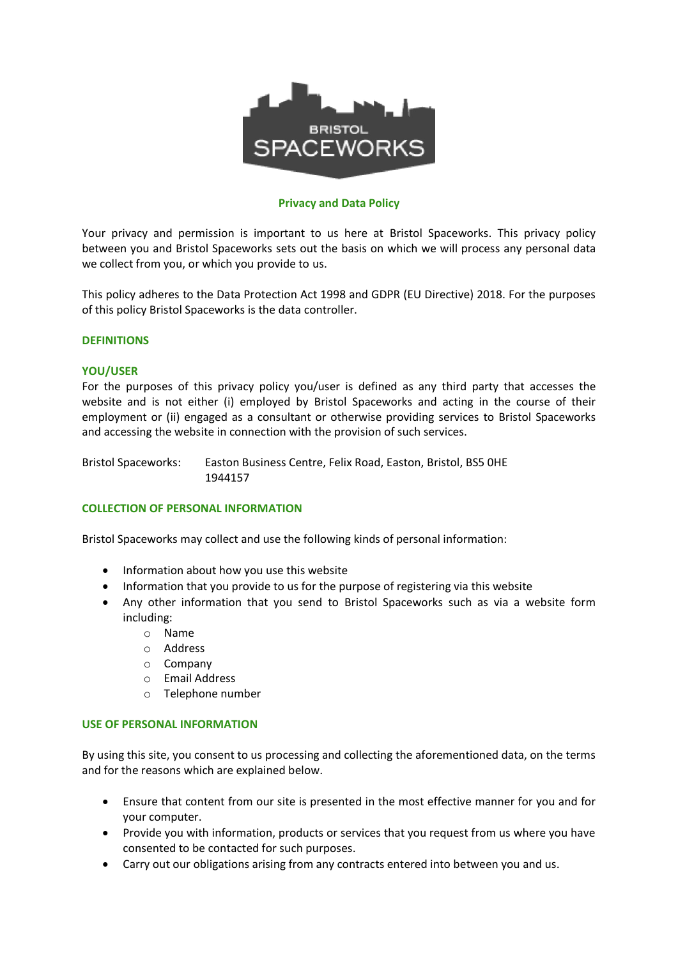

## **Privacy and Data Policy**

Your privacy and permission is important to us here at Bristol Spaceworks. This privacy policy between you and Bristol Spaceworks sets out the basis on which we will process any personal data we collect from you, or which you provide to us.

This policy adheres to the Data Protection Act 1998 and GDPR (EU Directive) 2018. For the purposes of this policy Bristol Spaceworks is the data controller.

## **DEFINITIONS**

#### **YOU/USER**

For the purposes of this privacy policy you/user is defined as any third party that accesses the website and is not either (i) employed by Bristol Spaceworks and acting in the course of their employment or (ii) engaged as a consultant or otherwise providing services to Bristol Spaceworks and accessing the website in connection with the provision of such services.

Bristol Spaceworks: Easton Business Centre, Felix Road, Easton, Bristol, BS5 0HE 1944157

#### **COLLECTION OF PERSONAL INFORMATION**

Bristol Spaceworks may collect and use the following kinds of personal information:

- Information about how you use this website
- Information that you provide to us for the purpose of registering via this website
- Any other information that you send to Bristol Spaceworks such as via a website form including:
	- o Name
	- o Address
	- o Company
	- o Email Address
	- o Telephone number

#### **USE OF PERSONAL INFORMATION**

By using this site, you consent to us processing and collecting the aforementioned data, on the terms and for the reasons which are explained below.

- Ensure that content from our site is presented in the most effective manner for you and for your computer.
- Provide you with information, products or services that you request from us where you have consented to be contacted for such purposes.
- Carry out our obligations arising from any contracts entered into between you and us.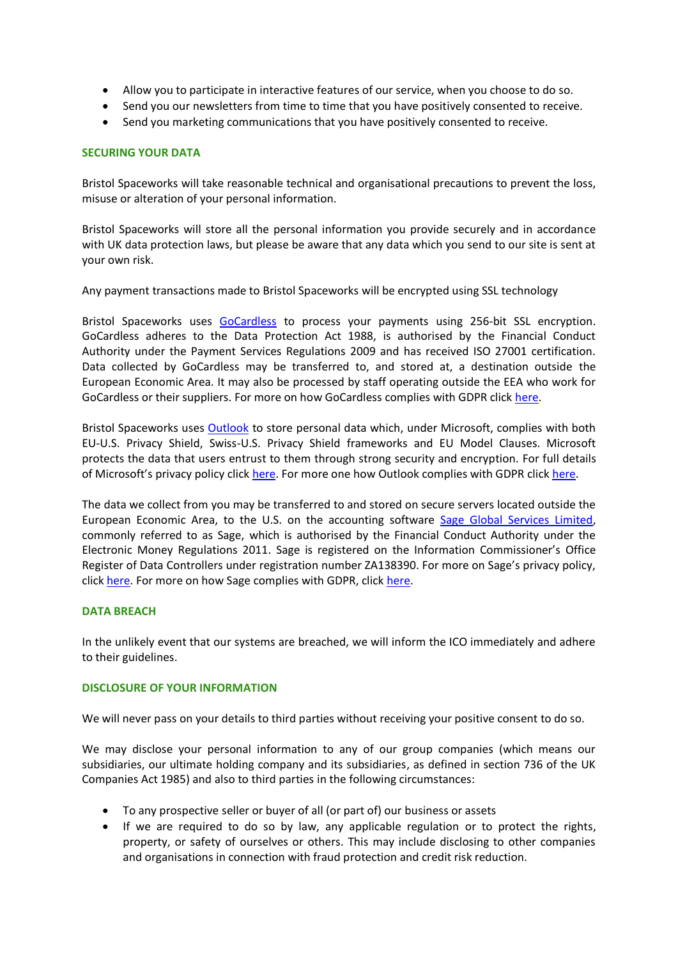- Allow you to participate in interactive features of our service, when you choose to do so.
- Send you our newsletters from time to time that you have positively consented to receive.
- Send you marketing communications that you have positively consented to receive.

# **SECURING YOUR DATA**

Bristol Spaceworks will take reasonable technical and organisational precautions to prevent the loss, misuse or alteration of your personal information.

Bristol Spaceworks will store all the personal information you provide securely and in accordance with UK data protection laws, but please be aware that any data which you send to our site is sent at your own risk.

Any payment transactions made to Bristol Spaceworks will be encrypted using SSL technology

Bristol Spaceworks uses [GoCardless](https://gocardless.com/) to process your payments using 256-bit SSL encryption. GoCardless adheres to the Data Protection Act 1988, is authorised by the Financial Conduct Authority under the Payment Services Regulations 2009 and has received ISO 27001 certification. Data collected by GoCardless may be transferred to, and stored at, a destination outside the European Economic Area. It may also be processed by staff operating outside the EEA who work for GoCardless or their suppliers. For more on how GoCardless complies with GDPR click [here.](https://gocardless.com/blog/gdpr/)

Bristol Spaceworks uses [Outlook](https://outlook.live.com/owa/) to store personal data which, under Microsoft, complies with both EU-U.S. Privacy Shield, Swiss-U.S. Privacy Shield frameworks and EU Model Clauses. Microsoft protects the data that users entrust to them through strong security and encryption. For full details of Microsoft's privacy policy click [here.](https://privacy.microsoft.com/en-us/privacystatement) For more one how Outlook complies with GDPR click [here.](https://www.microsoft.com/en-us/TrustCenter/Privacy/gdpr/default.aspx)

The data we collect from you may be transferred to and stored on secure servers located outside the European Economic Area, to the U.S. on the accounting software [Sage Global Services Limited,](https://www.sage.com/en-gb/) commonly referred to as Sage, which is authorised by the Financial Conduct Authority under the Electronic Money Regulations 2011. Sage is registered on the Information Commissioner's Office Register of Data Controllers under registration number ZA138390. For more on Sage's privacy policy, click [here.](https://www.sage.co.uk/uk/hrpayrollhero/privacy-policy) For more on how Sage complies with GDPR, click [here.](https://www.sage.com/en-gb/gdpr/)

#### **DATA BREACH**

In the unlikely event that our systems are breached, we will inform the ICO immediately and adhere to their guidelines.

#### **DISCLOSURE OF YOUR INFORMATION**

We will never pass on your details to third parties without receiving your positive consent to do so.

We may disclose your personal information to any of our group companies (which means our subsidiaries, our ultimate holding company and its subsidiaries, as defined in section 736 of the UK Companies Act 1985) and also to third parties in the following circumstances:

- To any prospective seller or buyer of all (or part of) our business or assets
- If we are required to do so by law, any applicable regulation or to protect the rights, property, or safety of ourselves or others. This may include disclosing to other companies and organisations in connection with fraud protection and credit risk reduction.